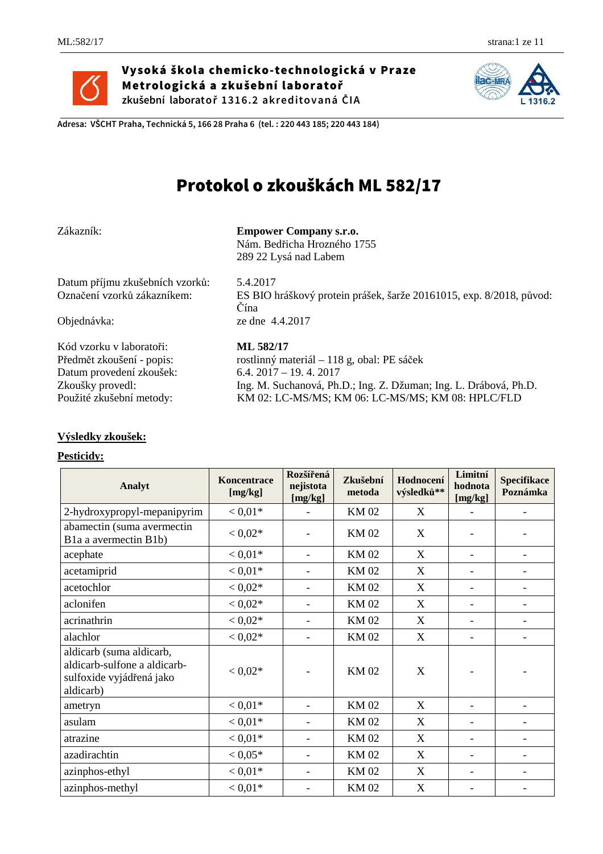

Vysoká škola chemicko-technologická v Praze Metrologická a zkušební laboratoř **zkušební laboratoř 1316.2 akreditovaná ČIA**



**Adresa: VŠCHT Praha, Technická 5, 166 28 Praha 6 (tel. : 220 443 185; 220 443 184)** 

# Protokol o zkouškách ML 582/17

### **Empower Company s.r.o.**

 Nám. Bedřicha Hrozného 1755 289 22 Lysá nad Labem

Datum příjmu zkušebních vzorků: 5.4.2017

Kód vzorku v laboratoři: **ML 582/17** Datum provedení zkoušek: 6.4. 2017 – 19. 4. 2017

# ES BIO hráškový protein prášek, šarže 20161015, exp. 8/2018, původ: Čína

Objednávka: ze dne 4.4.2017

Předmět zkoušení - popis: rostlinný materiál – 118 g, obal: PE sáček Zkoušky provedl: Ing. M. Suchanová, Ph.D.; Ing. Z. Džuman; Ing. L. Drábová, Ph.D. Použité zkušební metody: KM 02: LC-MS/MS; KM 06: LC-MS/MS; KM 08: HPLC/FLD

## **Výsledky zkoušek:**

#### **Pesticidy:**

| Analyt                                                                                            | Koncentrace<br>[mg/kg] | Rozšířená<br>Zkušební<br>nejistota<br>metoda<br>[mg/kg] |             | Hodnocení<br>výsledků**   | Limitní<br>hodnota<br>[mg/kg] | <b>Specifikace</b><br>Poznámka |
|---------------------------------------------------------------------------------------------------|------------------------|---------------------------------------------------------|-------------|---------------------------|-------------------------------|--------------------------------|
| 2-hydroxypropyl-mepanipyrim                                                                       | $< 0.01*$              | ۰                                                       | <b>KM02</b> | X                         | $\overline{\phantom{a}}$      |                                |
| abamectin (suma avermectin<br>Bla a avermectin B1b)                                               | $< 0.02*$              |                                                         | <b>KM02</b> | X                         |                               |                                |
| acephate                                                                                          | $< 0.01*$              |                                                         | <b>KM02</b> | $\boldsymbol{\mathrm{X}}$ |                               |                                |
| acetamiprid                                                                                       | $< 0.01*$              |                                                         | <b>KM02</b> | $\boldsymbol{\mathrm{X}}$ | $\overline{\phantom{a}}$      |                                |
| acetochlor                                                                                        | $< 0.02*$              |                                                         | <b>KM02</b> | $\boldsymbol{\mathrm{X}}$ |                               |                                |
| aclonifen                                                                                         | $< 0.02*$              |                                                         | <b>KM02</b> | X                         | $\overline{\phantom{a}}$      |                                |
| acrinathrin                                                                                       | $< 0.02*$              |                                                         | <b>KM02</b> | $\boldsymbol{\mathrm{X}}$ | $\overline{\phantom{a}}$      |                                |
| alachlor                                                                                          | $< 0.02*$              |                                                         | <b>KM02</b> | X                         |                               |                                |
| aldicarb (suma aldicarb,<br>aldicarb-sulfone a aldicarb-<br>sulfoxide vyjádřená jako<br>aldicarb) | $< 0.02*$              |                                                         | <b>KM02</b> | X                         |                               |                                |
| ametryn                                                                                           | $< 0.01*$              |                                                         | <b>KM02</b> | X                         | $\overline{\phantom{a}}$      |                                |
| asulam                                                                                            | $< 0.01*$              | ٠                                                       | <b>KM02</b> | X                         | $\overline{\phantom{a}}$      | $\qquad \qquad \blacksquare$   |
| atrazine                                                                                          | $< 0.01*$              | ۰                                                       | <b>KM02</b> | X                         | $\overline{\phantom{a}}$      |                                |
| azadirachtin                                                                                      | $< 0.05*$              |                                                         | <b>KM02</b> | X                         |                               |                                |
| azinphos-ethyl                                                                                    | $< 0.01*$              | ۰                                                       | <b>KM02</b> | X                         | $\overline{\phantom{a}}$      |                                |
| azinphos-methyl                                                                                   | $< 0.01*$              |                                                         | <b>KM02</b> | $\boldsymbol{\mathrm{X}}$ |                               |                                |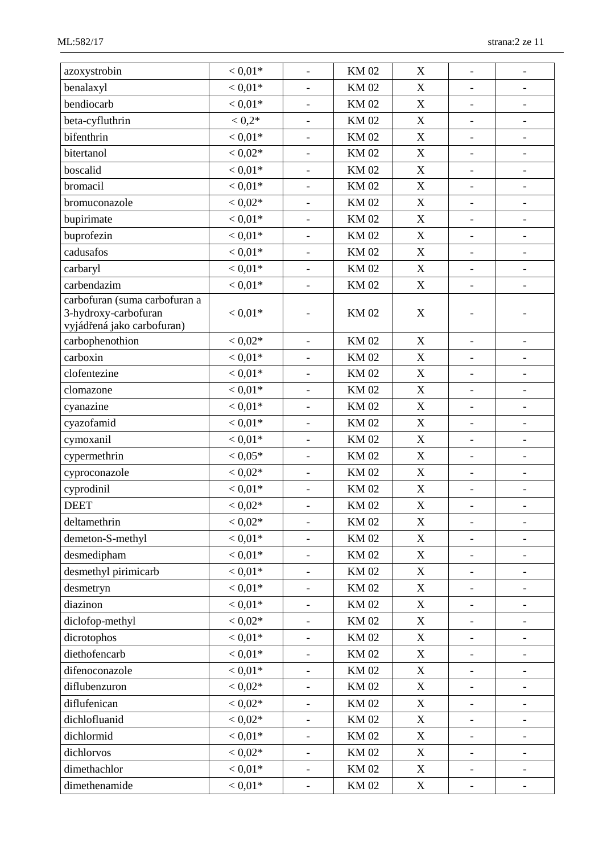| azoxystrobin                                                                        | $< 0.01*$ | $\overline{\phantom{a}}$     | <b>KM02</b> | X                         | $\qquad \qquad \blacksquare$ | $\qquad \qquad -$            |
|-------------------------------------------------------------------------------------|-----------|------------------------------|-------------|---------------------------|------------------------------|------------------------------|
| benalaxyl                                                                           | $< 0.01*$ | $\overline{\phantom{a}}$     | <b>KM02</b> | X                         | $\overline{\phantom{a}}$     | $\overline{\phantom{a}}$     |
| bendiocarb                                                                          | $< 0.01*$ |                              | <b>KM02</b> | $\mathbf X$               |                              | $\overline{\phantom{a}}$     |
| beta-cyfluthrin                                                                     | $< 0.2*$  | $\qquad \qquad \blacksquare$ | <b>KM02</b> | $\mathbf X$               | $\overline{\phantom{0}}$     | $\overline{\phantom{a}}$     |
| bifenthrin                                                                          | $< 0.01*$ | $\overline{\phantom{a}}$     | <b>KM02</b> | X                         | $\qquad \qquad \blacksquare$ | $\qquad \qquad \blacksquare$ |
| bitertanol                                                                          | $< 0.02*$ |                              | <b>KM02</b> | $\boldsymbol{\mathrm{X}}$ |                              | -                            |
| boscalid                                                                            | $< 0.01*$ | $\frac{1}{2}$                | <b>KM02</b> | $\mathbf X$               | $\qquad \qquad \blacksquare$ | $\overline{\phantom{a}}$     |
| bromacil                                                                            | $< 0.01*$ | $\blacksquare$               | <b>KM02</b> | $\mathbf X$               | $\qquad \qquad \blacksquare$ | $\qquad \qquad -$            |
| bromuconazole                                                                       | $< 0.02*$ |                              | <b>KM02</b> | X                         | $\qquad \qquad \blacksquare$ | $\overline{\phantom{a}}$     |
| bupirimate                                                                          | $< 0.01*$ | $\overline{\phantom{a}}$     | <b>KM02</b> | $\mathbf X$               | $\overline{\phantom{a}}$     | $\overline{\phantom{a}}$     |
| buprofezin                                                                          | $< 0.01*$ | $\blacksquare$               | <b>KM02</b> | $\mathbf X$               | $\qquad \qquad -$            | $\overline{\phantom{a}}$     |
| cadusafos                                                                           | $< 0.01*$ | $\overline{\phantom{a}}$     | <b>KM02</b> | $\mathbf X$               | $\qquad \qquad \blacksquare$ | $\qquad \qquad \blacksquare$ |
| carbaryl                                                                            | $< 0.01*$ | $\overline{\phantom{a}}$     | <b>KM02</b> | $\mathbf X$               | $\overline{\phantom{0}}$     | $\qquad \qquad \blacksquare$ |
| carbendazim                                                                         | $< 0.01*$ | $\overline{\phantom{a}}$     | <b>KM02</b> | $\mathbf X$               | $\overline{\phantom{a}}$     | $\overline{\phantom{a}}$     |
| carbofuran (suma carbofuran a<br>3-hydroxy-carbofuran<br>vyjádřená jako carbofuran) | $< 0.01*$ |                              | <b>KM02</b> | X                         |                              |                              |
| carbophenothion                                                                     | $< 0.02*$ | $\overline{\phantom{0}}$     | <b>KM02</b> | $\boldsymbol{X}$          | $\qquad \qquad \blacksquare$ | $\qquad \qquad -$            |
| carboxin                                                                            | $< 0.01*$ | $\overline{\phantom{a}}$     | <b>KM02</b> | $\mathbf X$               | $\qquad \qquad \blacksquare$ | $\overline{\phantom{a}}$     |
| clofentezine                                                                        | $< 0.01*$ | $\overline{\phantom{a}}$     | <b>KM02</b> | $\mathbf X$               | $\qquad \qquad \blacksquare$ | $\overline{\phantom{a}}$     |
| clomazone                                                                           | $< 0.01*$ |                              | <b>KM02</b> | X                         | $\overline{\phantom{a}}$     | $\overline{\phantom{a}}$     |
| cyanazine                                                                           | $< 0.01*$ | $\overline{\phantom{a}}$     | <b>KM02</b> | $\mathbf X$               | $\overline{\phantom{a}}$     | $\overline{\phantom{a}}$     |
| cyazofamid                                                                          | $< 0.01*$ | $\overline{\phantom{a}}$     | <b>KM02</b> | $\mathbf X$               | $\qquad \qquad \blacksquare$ | $\overline{\phantom{a}}$     |
| cymoxanil                                                                           | $< 0.01*$ |                              | <b>KM02</b> | $\mathbf X$               | $\qquad \qquad \blacksquare$ | $\qquad \qquad \blacksquare$ |
| cypermethrin                                                                        | $< 0.05*$ | $\overline{\phantom{a}}$     | <b>KM02</b> | $\boldsymbol{\mathrm{X}}$ | $\qquad \qquad \blacksquare$ | $\overline{\phantom{a}}$     |
| cyproconazole                                                                       | $< 0.02*$ | $\blacksquare$               | <b>KM02</b> | $\mathbf X$               | $\qquad \qquad \blacksquare$ | $\overline{\phantom{a}}$     |
| cyprodinil                                                                          | $< 0.01*$ | $\overline{\phantom{a}}$     | <b>KM02</b> | $\mathbf X$               | $\overline{\phantom{a}}$     | $\overline{\phantom{a}}$     |
| <b>DEET</b>                                                                         | $< 0.02*$ | $\overline{\phantom{a}}$     | <b>KM02</b> | $\mathbf X$               | $\overline{\phantom{0}}$     |                              |
| deltamethrin                                                                        | $< 0.02*$ | $\qquad \qquad \blacksquare$ | <b>KM02</b> | $\boldsymbol{\mathrm{X}}$ |                              |                              |
| demeton-S-methyl                                                                    | $< 0.01*$ |                              | <b>KM02</b> | $\mathbf X$               | $\overline{\phantom{0}}$     | $\overline{\phantom{a}}$     |
| desmedipham                                                                         | $< 0.01*$ |                              | <b>KM02</b> | $\mathbf X$               | $\overline{\phantom{0}}$     | -                            |
| desmethyl pirimicarb                                                                | $< 0.01*$ | $\blacksquare$               | <b>KM02</b> | $\mathbf X$               | $\overline{\phantom{0}}$     | $\overline{\phantom{a}}$     |
| desmetryn                                                                           | $< 0.01*$ | $\qquad \qquad -$            | <b>KM02</b> | $\boldsymbol{X}$          | $\qquad \qquad \blacksquare$ | $\qquad \qquad -$            |
| diazinon                                                                            | $< 0.01*$ | $\qquad \qquad -$            | <b>KM02</b> | X                         | $\qquad \qquad -$            | $\qquad \qquad -$            |
| diclofop-methyl                                                                     | $< 0.02*$ | $\overline{\phantom{a}}$     | <b>KM02</b> | $\mathbf X$               | $\overline{\phantom{0}}$     | $\overline{\phantom{a}}$     |
| dicrotophos                                                                         | $< 0.01*$ | $\qquad \qquad -$            | <b>KM02</b> | $\boldsymbol{X}$          | $\qquad \qquad -$            | $\qquad \qquad \blacksquare$ |
| diethofencarb                                                                       | $< 0.01*$ | $\overline{\phantom{a}}$     | <b>KM02</b> | $\mathbf X$               | $\overline{\phantom{a}}$     | $\qquad \qquad -$            |
| difenoconazole                                                                      | $< 0.01*$ |                              | <b>KM02</b> | $\mathbf X$               | $\overline{\phantom{0}}$     | -                            |
| diflubenzuron                                                                       | $< 0.02*$ | $\qquad \qquad -$            | <b>KM02</b> | X                         | $\qquad \qquad -$            | $\overline{\phantom{0}}$     |
| diflufenican                                                                        | $< 0.02*$ | $\overline{\phantom{a}}$     | <b>KM02</b> | $\boldsymbol{\mathrm{X}}$ | $\blacksquare$               | $\blacksquare$               |
| dichlofluanid                                                                       | $< 0.02*$ | $\overline{\phantom{a}}$     | <b>KM02</b> | X                         | $\overline{\phantom{0}}$     | $\overline{\phantom{0}}$     |
| dichlormid                                                                          | $< 0.01*$ | $\qquad \qquad -$            | <b>KM02</b> | $\mathbf X$               | $\qquad \qquad -$            | $\qquad \qquad \blacksquare$ |
| dichlorvos                                                                          | $< 0.02*$ | $\overline{\phantom{a}}$     | <b>KM02</b> | X                         | $\qquad \qquad -$            | $\overline{\phantom{a}}$     |
| dimethachlor                                                                        | $< 0.01*$ | $\overline{\phantom{0}}$     | <b>KM02</b> | $\boldsymbol{X}$          | $\qquad \qquad -$            | $\overline{\phantom{a}}$     |
| dimethenamide                                                                       | $< 0.01*$ | $\overline{\phantom{a}}$     | <b>KM02</b> | X                         | $\blacksquare$               | $\overline{\phantom{a}}$     |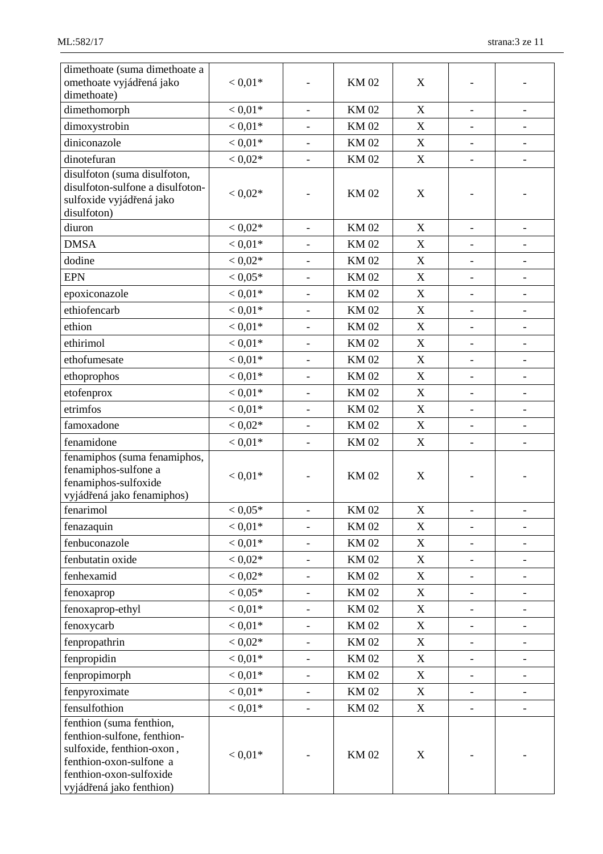| dimethoate (suma dimethoate a<br>omethoate vyjádřená jako<br>dimethoate)                                                                                               | $< 0.01*$ |                          | <b>KM02</b> | X                         |                              |                              |
|------------------------------------------------------------------------------------------------------------------------------------------------------------------------|-----------|--------------------------|-------------|---------------------------|------------------------------|------------------------------|
| dimethomorph                                                                                                                                                           | $< 0.01*$ | $\blacksquare$           | <b>KM02</b> | X                         | $\frac{1}{2}$                | $\overline{\phantom{a}}$     |
| dimoxystrobin                                                                                                                                                          | $< 0.01*$ | $\overline{\phantom{a}}$ | <b>KM02</b> | X                         | $\qquad \qquad \blacksquare$ | $\overline{\phantom{a}}$     |
| diniconazole                                                                                                                                                           | $< 0.01*$ |                          | <b>KM02</b> | X                         | $\overline{\phantom{a}}$     | $\overline{\phantom{a}}$     |
| dinotefuran                                                                                                                                                            | $< 0.02*$ | $\blacksquare$           | <b>KM02</b> | X                         | $\overline{a}$               | $\blacksquare$               |
| disulfoton (suma disulfoton,                                                                                                                                           |           |                          |             |                           |                              |                              |
| disulfoton-sulfone a disulfoton-<br>sulfoxide vyjádřená jako<br>disulfoton)                                                                                            | $< 0.02*$ | $\overline{\phantom{0}}$ | <b>KM02</b> | X                         |                              |                              |
| diuron                                                                                                                                                                 | $< 0.02*$ | $\blacksquare$           | <b>KM02</b> | X                         | $\overline{\phantom{a}}$     | $\overline{\phantom{a}}$     |
| <b>DMSA</b>                                                                                                                                                            | $< 0.01*$ | $\blacksquare$           | <b>KM02</b> | $\mathbf X$               |                              | $\overline{\phantom{a}}$     |
| dodine                                                                                                                                                                 | $< 0.02*$ | $\overline{\phantom{a}}$ | <b>KM02</b> | $\boldsymbol{\mathrm{X}}$ | $\overline{\phantom{a}}$     | $\overline{\phantom{0}}$     |
| <b>EPN</b>                                                                                                                                                             | $< 0.05*$ |                          | <b>KM02</b> | $\mathbf X$               | $\overline{\phantom{a}}$     | $\overline{\phantom{a}}$     |
| epoxiconazole                                                                                                                                                          | $< 0.01*$ |                          | <b>KM02</b> | $\boldsymbol{\mathrm{X}}$ | $\overline{\phantom{0}}$     | $\qquad \qquad -$            |
| ethiofencarb                                                                                                                                                           | $< 0.01*$ | $\overline{\phantom{a}}$ | <b>KM02</b> | $\boldsymbol{\mathrm{X}}$ | $\overline{\phantom{0}}$     | $\overline{\phantom{0}}$     |
| ethion                                                                                                                                                                 | $< 0.01*$ | $\blacksquare$           | <b>KM02</b> | $\boldsymbol{X}$          | $\overline{\phantom{a}}$     | $\overline{\phantom{a}}$     |
| ethirimol                                                                                                                                                              | $< 0.01*$ | $\overline{\phantom{a}}$ | <b>KM02</b> | $\boldsymbol{\mathrm{X}}$ | $\overline{\phantom{0}}$     | $\overline{\phantom{0}}$     |
| ethofumesate                                                                                                                                                           | $< 0.01*$ |                          | <b>KM02</b> | X                         | $\overline{\phantom{0}}$     | $\overline{\phantom{a}}$     |
| ethoprophos                                                                                                                                                            | $< 0.01*$ | $\overline{\phantom{a}}$ | <b>KM02</b> | $\boldsymbol{X}$          | $\qquad \qquad \blacksquare$ | $\overline{\phantom{a}}$     |
| etofenprox                                                                                                                                                             | $< 0.01*$ | $\overline{\phantom{a}}$ | <b>KM02</b> | X                         | $\overline{\phantom{a}}$     | $\overline{\phantom{a}}$     |
| etrimfos                                                                                                                                                               | $< 0.01*$ |                          | <b>KM02</b> | X                         | $\overline{\phantom{0}}$     |                              |
| famoxadone                                                                                                                                                             | $< 0.02*$ | $\overline{\phantom{a}}$ | <b>KM02</b> | $\mathbf X$               |                              |                              |
| fenamidone                                                                                                                                                             |           |                          | <b>KM02</b> | $\mathbf X$               | $\overline{\phantom{a}}$     | $\overline{\phantom{a}}$     |
| fenamiphos (suma fenamiphos,                                                                                                                                           | $< 0.01*$ | $\overline{\phantom{a}}$ |             |                           | $\overline{\phantom{a}}$     | $\overline{\phantom{a}}$     |
| fenamiphos-sulfone a<br>fenamiphos-sulfoxide<br>vyjádřená jako fenamiphos)                                                                                             | $< 0.01*$ |                          | <b>KM02</b> | $\boldsymbol{\mathrm{X}}$ |                              |                              |
| fenarimol                                                                                                                                                              | $< 0.05*$ | $\overline{\phantom{a}}$ | <b>KM02</b> | $\mathbf X$               | $\overline{\phantom{0}}$     |                              |
| fenazaquin                                                                                                                                                             | $< 0.01*$ | $\overline{\phantom{a}}$ | <b>KM02</b> | X                         | $\qquad \qquad -$            | $\qquad \qquad \blacksquare$ |
| fenbuconazole                                                                                                                                                          | $< 0.01*$ |                          | <b>KM02</b> | $\mathbf X$               |                              | $\overline{\phantom{a}}$     |
| fenbutatin oxide                                                                                                                                                       | $< 0.02*$ | $\overline{\phantom{a}}$ | <b>KM02</b> | $\mathbf X$               | $\overline{\phantom{0}}$     | $\overline{\phantom{a}}$     |
| fenhexamid                                                                                                                                                             | $< 0.02*$ | $\overline{\phantom{a}}$ | <b>KM02</b> | $\boldsymbol{X}$          | $\frac{1}{2}$                | $\qquad \qquad \blacksquare$ |
| fenoxaprop                                                                                                                                                             | $< 0.05*$ | $\overline{\phantom{a}}$ | <b>KM02</b> | $\boldsymbol{X}$          | $\overline{\phantom{a}}$     | $\overline{\phantom{a}}$     |
| fenoxaprop-ethyl                                                                                                                                                       | $< 0.01*$ |                          | <b>KM02</b> | $\mathbf X$               | $\overline{\phantom{0}}$     | $\overline{\phantom{a}}$     |
| fenoxycarb                                                                                                                                                             | $< 0.01*$ | $\overline{\phantom{a}}$ | <b>KM02</b> | $\boldsymbol{X}$          | $\overline{\phantom{a}}$     | $\qquad \qquad \blacksquare$ |
| fenpropathrin                                                                                                                                                          | $< 0.02*$ | $\overline{\phantom{a}}$ | <b>KM02</b> | $\boldsymbol{X}$          | $\qquad \qquad -$            | $\overline{\phantom{a}}$     |
| fenpropidin                                                                                                                                                            | $< 0.01*$ |                          | <b>KM02</b> | $\mathbf X$               | $\overline{\phantom{0}}$     | -                            |
| fenpropimorph                                                                                                                                                          | $< 0.01*$ | $\overline{\phantom{a}}$ | <b>KM02</b> | X                         | $\overline{\phantom{a}}$     | $\overline{\phantom{a}}$     |
| fenpyroximate                                                                                                                                                          | $< 0.01*$ | $\overline{\phantom{a}}$ | KM 02       | X                         | $\overline{\phantom{a}}$     | $\overline{\phantom{a}}$     |
| fensulfothion                                                                                                                                                          | $< 0.01*$ |                          | <b>KM02</b> | $\boldsymbol{X}$          |                              | $\overline{\phantom{0}}$     |
| fenthion (suma fenthion,<br>fenthion-sulfone, fenthion-<br>sulfoxide, fenthion-oxon,<br>fenthion-oxon-sulfone a<br>fenthion-oxon-sulfoxide<br>vyjádřená jako fenthion) | $< 0.01*$ |                          | <b>KM02</b> | $\mathbf X$               |                              |                              |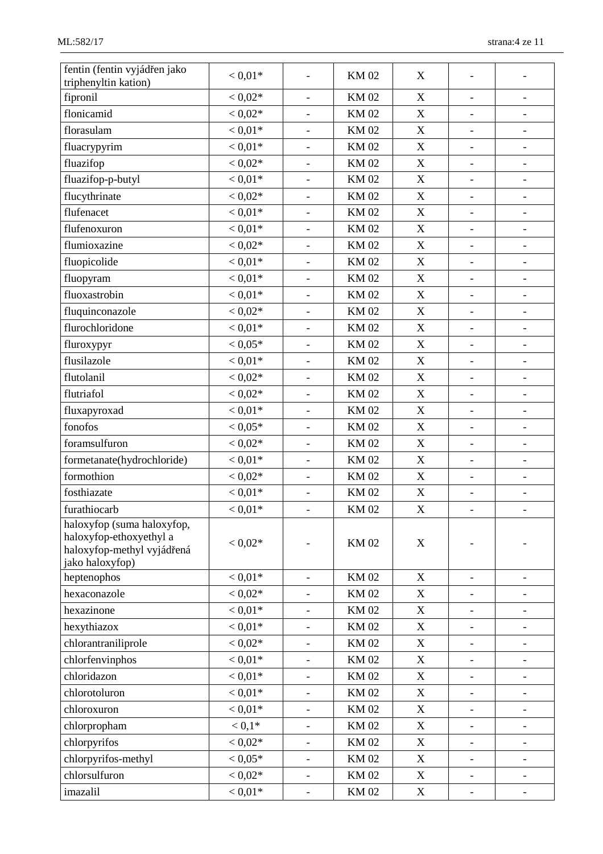| fentin (fentin vyjádřen jako | $< 0.01*$          |                              | <b>KM02</b>                | X                         |                              |                              |
|------------------------------|--------------------|------------------------------|----------------------------|---------------------------|------------------------------|------------------------------|
| triphenyltin kation)         |                    |                              |                            |                           |                              |                              |
| fipronil                     | $< 0.02*$          | $\blacksquare$               | <b>KM02</b>                | $\mathbf X$               | $\overline{a}$               | $\overline{\phantom{a}}$     |
| flonicamid                   | $< 0.02*$          | $\overline{\phantom{a}}$     | <b>KM02</b>                | $\mathbf X$               | $\qquad \qquad \blacksquare$ | $\qquad \qquad \blacksquare$ |
| florasulam                   | $< 0.01*$          |                              | <b>KM02</b>                | $\mathbf X$               | $\overline{\phantom{a}}$     | $\overline{\phantom{a}}$     |
| fluacrypyrim                 | $< 0.01*$          | $\blacksquare$               | <b>KM02</b>                | $\mathbf X$               | $\frac{1}{2}$                | $\overline{\phantom{a}}$     |
| fluazifop                    | $< 0.02*$          | $\overline{\phantom{a}}$     | <b>KM02</b>                | $\mathbf X$               | $\overline{\phantom{0}}$     | $\overline{\phantom{a}}$     |
| fluazifop-p-butyl            | $< 0.01*$          | $\overline{a}$               | <b>KM02</b>                | $\mathbf X$               | $\qquad \qquad \blacksquare$ | $\qquad \qquad \blacksquare$ |
| flucythrinate                | $< 0.02*$          | $\overline{\phantom{a}}$     | <b>KM02</b>                | $\boldsymbol{X}$          | $\overline{\phantom{0}}$     | $\overline{\phantom{a}}$     |
| flufenacet                   | $< 0.01*$          | $\overline{a}$               | <b>KM02</b>                | $\mathbf X$               | $\overline{\phantom{a}}$     | $\overline{\phantom{a}}$     |
| flufenoxuron                 | $< 0.01*$          | $\overline{\phantom{a}}$     | <b>KM02</b>                | $\mathbf X$               | $\qquad \qquad \blacksquare$ | $\qquad \qquad \blacksquare$ |
| flumioxazine                 | $< 0.02*$          | $\overline{\phantom{a}}$     | <b>KM02</b>                | $\boldsymbol{X}$          | $\qquad \qquad \blacksquare$ | $\qquad \qquad -$            |
| fluopicolide                 | $< 0.01*$          | $\qquad \qquad \blacksquare$ | <b>KM02</b>                | $\mathbf X$               | $\overline{\phantom{a}}$     | $\overline{\phantom{a}}$     |
| fluopyram                    | $< 0.01*$          | $\blacksquare$               | <b>KM02</b>                | $\mathbf X$               | $\overline{\phantom{0}}$     | $\overline{\phantom{a}}$     |
| fluoxastrobin                | $< 0.01*$          | $\overline{\phantom{a}}$     | <b>KM02</b>                | $\mathbf X$               | $\overline{\phantom{a}}$     | $\overline{\phantom{a}}$     |
| fluquinconazole              | $< 0.02*$          |                              | <b>KM02</b>                | $\boldsymbol{\mathrm{X}}$ | $\overline{\phantom{0}}$     | $\overline{\phantom{a}}$     |
| flurochloridone              | $< 0.01*$          | $\overline{\phantom{a}}$     | <b>KM02</b>                | $\mathbf X$               | $\overline{\phantom{a}}$     | $\overline{\phantom{a}}$     |
| fluroxypyr                   | $< 0.05*$          | $\overline{\phantom{a}}$     | <b>KM02</b>                | $\mathbf X$               | $\qquad \qquad \blacksquare$ | $\qquad \qquad \blacksquare$ |
| flusilazole                  | $< 0.01*$          | $\overline{\phantom{a}}$     | <b>KM02</b>                | $\mathbf X$               | $\overline{\phantom{0}}$     | $\overline{\phantom{a}}$     |
| flutolanil                   | $< 0.02*$          | $\overline{\phantom{a}}$     | <b>KM02</b>                | $\mathbf X$               | $\qquad \qquad \blacksquare$ | $\qquad \qquad \blacksquare$ |
| flutriafol                   | $< 0.02*$          | $\overline{\phantom{a}}$     | <b>KM02</b>                | X                         | $\qquad \qquad \blacksquare$ | $\overline{\phantom{a}}$     |
| fluxapyroxad                 | $< 0.01\mathrm{*}$ | $\overline{\phantom{a}}$     | <b>KM02</b><br>$\mathbf X$ |                           | $\overline{\phantom{a}}$     | $\qquad \qquad \blacksquare$ |
| fonofos                      | $< 0.05*$          | $\blacksquare$               | <b>KM02</b>                | $\mathbf X$               | $\frac{1}{2}$                | $\overline{\phantom{a}}$     |
| foramsulfuron                | $< 0.02*$          | $\overline{\phantom{a}}$     | <b>KM02</b>                | $\mathbf X$               | $\overline{\phantom{a}}$     | $\overline{\phantom{a}}$     |
| formetanate(hydrochloride)   | $< 0.01*$          | $\overline{\phantom{a}}$     | <b>KM02</b>                | $\mathbf X$               | $\overline{\phantom{a}}$     | $\overline{\phantom{a}}$     |
| formothion                   | $< 0.02*$          | $\qquad \qquad \blacksquare$ | <b>KM02</b>                | $\boldsymbol{X}$          | $\overline{\phantom{0}}$     | $\overline{\phantom{a}}$     |
| fosthiazate                  | $< 0.01*$          | $\overline{a}$               | <b>KM02</b>                | $\mathbf X$               | $\frac{1}{2}$                | $\qquad \qquad \blacksquare$ |
| furathiocarb                 | $< 0.01*$          | $\overline{\phantom{a}}$     | <b>KM02</b>                | $\mathbf X$               | $\qquad \qquad \blacksquare$ | $\overline{\phantom{a}}$     |
| haloxyfop (suma haloxyfop,   |                    |                              |                            |                           |                              |                              |
| haloxyfop-ethoxyethyl a      |                    |                              |                            |                           |                              |                              |
| haloxyfop-methyl vyjádřená   | $< 0.02*$          |                              | <b>KM02</b>                | X                         |                              |                              |
| jako haloxyfop)              |                    |                              |                            |                           |                              |                              |
| heptenophos                  | $< 0.01*$          | $\overline{a}$               | <b>KM02</b>                | X                         | $\overline{a}$               | $\overline{\phantom{a}}$     |
| hexaconazole                 | $< 0.02*$          | $\overline{\phantom{a}}$     | <b>KM02</b>                | $\boldsymbol{X}$          | $\overline{\phantom{a}}$     | $\overline{\phantom{a}}$     |
| hexazinone                   | $< 0.01*$          |                              | <b>KM02</b>                | X                         | $\overline{\phantom{0}}$     | $\overline{\phantom{a}}$     |
| hexythiazox                  | $< 0.01*$          |                              | <b>KM02</b>                | $\boldsymbol{X}$          | $\overline{\phantom{0}}$     | $\overline{\phantom{a}}$     |
| chlorantraniliprole          | $< 0.02*$          | $\overline{\phantom{a}}$     | <b>KM02</b>                | $\boldsymbol{X}$          | $\qquad \qquad \blacksquare$ | $\overline{\phantom{a}}$     |
| chlorfenvinphos              | $< 0.01*$          |                              | <b>KM02</b>                | $\boldsymbol{X}$          | $\overline{\phantom{a}}$     | $\overline{\phantom{a}}$     |
| chloridazon                  | $< 0.01*$          |                              | <b>KM02</b>                | $\boldsymbol{X}$          | $\overline{\phantom{0}}$     | -                            |
| chlorotoluron                | $< 0.01*$          | $\overline{\phantom{a}}$     | <b>KM02</b>                | $\mathbf X$               | $\overline{\phantom{a}}$     | $\overline{\phantom{a}}$     |
| chloroxuron                  | $< 0.01*$          | $\overline{\phantom{a}}$     | KM 02                      | $\mathbf X$               | $\overline{\phantom{a}}$     | $\overline{\phantom{a}}$     |
| chlorpropham                 | $< 0.1*$           | $\overline{\phantom{a}}$     | <b>KM02</b>                | $\boldsymbol{X}$          | $\overline{\phantom{0}}$     | $\overline{\phantom{a}}$     |
| chlorpyrifos                 | $< 0.02*$          | $\overline{a}$               | <b>KM02</b>                | $\mathbf X$               | $\overline{\phantom{0}}$     | -                            |
| chlorpyrifos-methyl          | $< 0.05*$          | $\overline{\phantom{a}}$     | <b>KM02</b>                | X                         | $\qquad \qquad \blacksquare$ | $\overline{\phantom{0}}$     |
| chlorsulfuron                | $< 0.02*$          | $\overline{\phantom{a}}$     | <b>KM02</b>                | X                         | $\overline{\phantom{a}}$     | $\overline{\phantom{a}}$     |
| imazalil                     | $< 0.01*$          |                              | <b>KM02</b>                | $\mathbf X$               |                              |                              |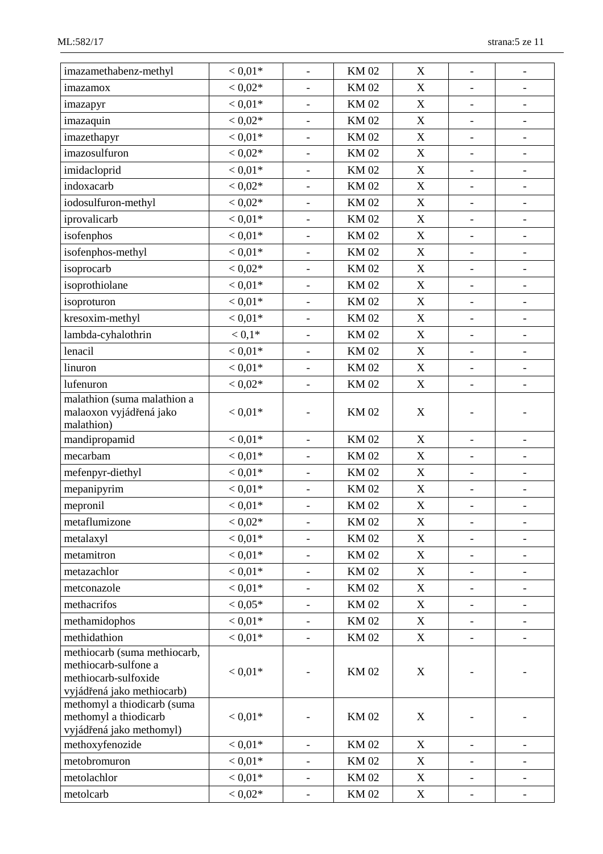| imazamethabenz-methyl                        | $< 0.01*$ | $\overline{\phantom{a}}$ | <b>KM02</b>                              | $\boldsymbol{\mathrm{X}}$ | $\overline{\phantom{a}}$     | $\qquad \qquad -$            |
|----------------------------------------------|-----------|--------------------------|------------------------------------------|---------------------------|------------------------------|------------------------------|
| imazamox                                     | $< 0.02*$ |                          | <b>KM02</b>                              | X                         | $\overline{\phantom{a}}$     | $\overline{\phantom{m}}$     |
| imazapyr                                     | $< 0.01*$ |                          | <b>KM02</b>                              | $\mathbf X$               | $\overline{\phantom{0}}$     | $\overline{\phantom{0}}$     |
| imazaquin                                    | $< 0.02*$ | $\frac{1}{2}$            | <b>KM02</b>                              | $\boldsymbol{\mathrm{X}}$ | $\overline{\phantom{0}}$     | $\overline{\phantom{a}}$     |
| imazethapyr                                  | $< 0.01*$ | $\overline{\phantom{a}}$ | <b>KM02</b>                              | $\boldsymbol{X}$          | $\frac{1}{2}$                | $\overline{\phantom{a}}$     |
| imazosulfuron                                | $< 0.02*$ | $\overline{\phantom{a}}$ | <b>KM02</b>                              | $\mathbf X$               | $\overline{\phantom{0}}$     | $\overline{\phantom{a}}$     |
| imidacloprid                                 | $< 0.01*$ |                          | <b>KM02</b>                              | $\mathbf X$               | -                            | $\overline{\phantom{a}}$     |
| indoxacarb                                   | $< 0.02*$ | $\overline{\phantom{a}}$ | <b>KM02</b>                              | X                         | $\overline{\phantom{a}}$     | $\qquad \qquad \blacksquare$ |
| iodosulfuron-methyl                          | $< 0.02*$ | $\overline{\phantom{a}}$ | <b>KM02</b>                              | $\mathbf X$               | $\qquad \qquad \blacksquare$ | $\overline{\phantom{a}}$     |
| iprovalicarb                                 | $< 0.01*$ |                          | <b>KM02</b>                              | $\boldsymbol{\mathrm{X}}$ | $\overline{\phantom{0}}$     | $\qquad \qquad -$            |
| isofenphos                                   | $< 0.01*$ | $\overline{\phantom{a}}$ | <b>KM02</b>                              | $\mathbf X$               | $\overline{\phantom{a}}$     | $\overline{\phantom{a}}$     |
| isofenphos-methyl                            | $< 0.01*$ | $\overline{\phantom{a}}$ | <b>KM02</b>                              | $\mathbf X$               | $\qquad \qquad \blacksquare$ | $\overline{\phantom{a}}$     |
| isoprocarb                                   | $< 0.02*$ |                          | <b>KM02</b>                              | $\boldsymbol{\mathrm{X}}$ | $\overline{\phantom{a}}$     | $\qquad \qquad \blacksquare$ |
| isoprothiolane                               | $< 0.01*$ | $\overline{\phantom{a}}$ | <b>KM02</b>                              | $\boldsymbol{\mathrm{X}}$ | $\overline{\phantom{0}}$     | $\overline{\phantom{0}}$     |
| isoproturon                                  | $< 0.01*$ | $\overline{\phantom{a}}$ | <b>KM02</b>                              | $\mathbf X$               | $\qquad \qquad -$            | $\overline{\phantom{a}}$     |
| kresoxim-methyl                              | $< 0.01*$ | $\overline{\phantom{a}}$ | <b>KM02</b>                              | X                         | $\overline{\phantom{a}}$     | $\overline{\phantom{a}}$     |
| lambda-cyhalothrin                           | $< 0.1*$  | $\equiv$                 | <b>KM02</b>                              | $\mathbf X$               | $\overline{a}$               | $\overline{\phantom{a}}$     |
| lenacil                                      | $< 0.01*$ | $\overline{\phantom{a}}$ | <b>KM02</b>                              | $\mathbf X$               | $\qquad \qquad \blacksquare$ | $\overline{\phantom{a}}$     |
| linuron                                      | $< 0.01*$ | $\overline{\phantom{a}}$ | <b>KM02</b>                              | $\mathbf X$               | $\overline{\phantom{a}}$     | $\overline{\phantom{a}}$     |
| lufenuron                                    | $< 0.02*$ |                          | <b>KM02</b><br>$\boldsymbol{\mathrm{X}}$ |                           | ÷,                           |                              |
| malathion (suma malathion a                  |           |                          |                                          |                           |                              |                              |
| malaoxon vyjádřená jako                      | $< 0.01*$ |                          | <b>KM02</b>                              | X                         |                              |                              |
| malathion)                                   |           |                          |                                          |                           |                              |                              |
| mandipropamid                                | $< 0.01*$ | $\overline{\phantom{a}}$ | <b>KM02</b>                              | X                         | $\overline{\phantom{a}}$     | $\overline{\phantom{a}}$     |
| mecarbam                                     | $< 0.01*$ | $\blacksquare$           | <b>KM02</b>                              | $\mathbf X$               | $\overline{\phantom{0}}$     | $\overline{\phantom{a}}$     |
| mefenpyr-diethyl                             | $< 0.01*$ | $\blacksquare$           | <b>KM02</b>                              | $\mathbf X$               | $\overline{\phantom{a}}$     | $\overline{\phantom{0}}$     |
| mepanipyrim                                  | $< 0.01*$ | $\overline{\phantom{a}}$ | <b>KM02</b>                              | $\mathbf X$               | $\qquad \qquad \blacksquare$ | $\qquad \qquad -$            |
| mepronil                                     | $< 0.01*$ |                          | <b>KM02</b>                              | $\mathbf X$               | $\overline{\phantom{0}}$     |                              |
| metaflumizone                                | $< 0.02*$ |                          | <b>KM02</b>                              | X                         |                              |                              |
| metalaxyl                                    | $< 0.01*$ |                          | <b>KM02</b>                              | $\boldsymbol{X}$          | $\overline{\phantom{a}}$     | $\overline{\phantom{a}}$     |
| metamitron                                   | $< 0.01*$ | $\overline{\phantom{a}}$ | <b>KM02</b>                              | X                         | $\qquad \qquad -$            | $\overline{\phantom{0}}$     |
| metazachlor                                  | $< 0.01*$ |                          | <b>KM02</b>                              | $\boldsymbol{X}$          | -                            | $\overline{\phantom{a}}$     |
| metconazole                                  | $< 0.01*$ | $\overline{\phantom{a}}$ | <b>KM02</b>                              | X                         | $\qquad \qquad \blacksquare$ | $\overline{\phantom{a}}$     |
| methacrifos                                  | $< 0.05*$ | $\overline{\phantom{a}}$ | <b>KM02</b>                              | $\boldsymbol{X}$          | $\qquad \qquad -$            | $\overline{\phantom{a}}$     |
| methamidophos                                | $< 0.01*$ |                          | <b>KM02</b>                              | X                         | $\overline{\phantom{0}}$     | $\overline{\phantom{a}}$     |
| methidathion                                 | $< 0.01*$ | $\blacksquare$           | <b>KM02</b>                              | X                         | $\blacksquare$               | $\overline{\phantom{a}}$     |
| methiocarb (suma methiocarb,                 |           |                          |                                          |                           |                              |                              |
| methiocarb-sulfone a<br>methiocarb-sulfoxide | $< 0.01*$ |                          | <b>KM02</b>                              | $\boldsymbol{X}$          |                              |                              |
| vyjádřená jako methiocarb)                   |           |                          |                                          |                           |                              |                              |
| methomyl a thiodicarb (suma                  |           |                          |                                          |                           |                              |                              |
| methomyl a thiodicarb                        | $< 0.01*$ |                          | <b>KM02</b>                              | X                         |                              |                              |
| vyjádřená jako methomyl)                     |           |                          |                                          |                           |                              |                              |
| methoxyfenozide                              | $< 0.01*$ | $\overline{\phantom{a}}$ | <b>KM02</b>                              | $\boldsymbol{X}$          | $\overline{\phantom{a}}$     | $\overline{\phantom{a}}$     |
| metobromuron                                 | $< 0.01*$ |                          | <b>KM02</b>                              | X                         | $\overline{\phantom{0}}$     | $\qquad \qquad \blacksquare$ |
| metolachlor                                  | $< 0.01*$ | $\overline{\phantom{0}}$ | <b>KM02</b>                              | $\mathbf X$               | $\overline{\phantom{0}}$     | $\qquad \qquad \blacksquare$ |
| metolcarb                                    | $< 0.02*$ | $\equiv$                 | <b>KM02</b>                              | $\mathbf X$               | $\qquad \qquad -$            | $\qquad \qquad \blacksquare$ |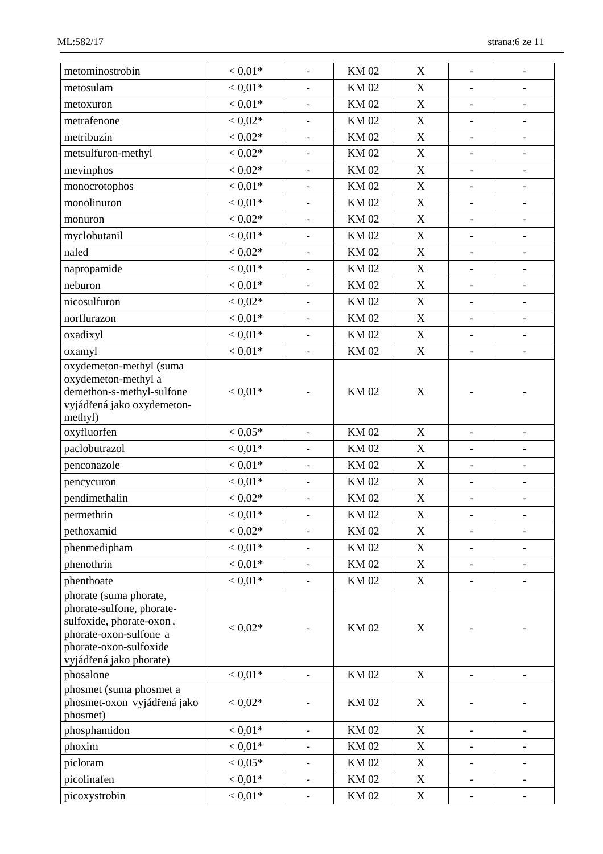| metominostrobin                                                                                                                                                | $< 0.01*$ | $\frac{1}{2}$            | <b>KM02</b> | $\boldsymbol{X}$          | $\overline{\phantom{a}}$     | $\overline{\phantom{0}}$     |
|----------------------------------------------------------------------------------------------------------------------------------------------------------------|-----------|--------------------------|-------------|---------------------------|------------------------------|------------------------------|
| metosulam                                                                                                                                                      | $< 0.01*$ | $\overline{\phantom{a}}$ | <b>KM02</b> | X                         | $\overline{\phantom{a}}$     | $\overline{\phantom{a}}$     |
| metoxuron                                                                                                                                                      | $< 0.01*$ |                          | <b>KM02</b> | $\mathbf X$               |                              |                              |
| metrafenone                                                                                                                                                    | $< 0.02*$ | $\overline{\phantom{0}}$ | <b>KM02</b> | $\mathbf X$               | $\overline{\phantom{a}}$     | $\overline{\phantom{a}}$     |
| metribuzin                                                                                                                                                     | $< 0.02*$ | $\blacksquare$           | <b>KM02</b> | $\boldsymbol{X}$          | $\blacksquare$               | $\overline{\phantom{a}}$     |
| metsulfuron-methyl                                                                                                                                             | $< 0.02*$ | $\overline{\phantom{a}}$ | <b>KM02</b> | $\mathbf X$               | $\overline{\phantom{a}}$     | $\overline{\phantom{a}}$     |
| mevinphos                                                                                                                                                      | $< 0.02*$ | $\overline{\phantom{a}}$ | <b>KM02</b> | $\mathbf X$               | $\overline{\phantom{a}}$     | $\overline{\phantom{a}}$     |
| monocrotophos                                                                                                                                                  | $< 0.01*$ | $\blacksquare$           | <b>KM02</b> | X                         | $\overline{\phantom{a}}$     | $\overline{\phantom{a}}$     |
| monolinuron                                                                                                                                                    | $< 0.01*$ | $\overline{\phantom{a}}$ | <b>KM02</b> | $\mathbf X$               | $\overline{\phantom{a}}$     | $\overline{\phantom{a}}$     |
| monuron                                                                                                                                                        | $< 0.02*$ |                          | <b>KM02</b> | X                         | $\overline{\phantom{a}}$     | $\qquad \qquad \blacksquare$ |
| myclobutanil                                                                                                                                                   | $< 0.01*$ | $\overline{\phantom{a}}$ | <b>KM02</b> | $\mathbf X$               | $\overline{\phantom{a}}$     | $\overline{\phantom{a}}$     |
| naled                                                                                                                                                          | $< 0.02*$ | $\overline{\phantom{a}}$ | <b>KM02</b> | $\mathbf X$               | $\overline{\phantom{a}}$     | $\overline{\phantom{a}}$     |
| napropamide                                                                                                                                                    | $< 0.01*$ | $\overline{\phantom{a}}$ | <b>KM02</b> | X                         | $\overline{\phantom{a}}$     | $\qquad \qquad -$            |
| neburon                                                                                                                                                        | $< 0.01*$ | $\overline{\phantom{a}}$ | <b>KM02</b> | X                         | $\qquad \qquad \blacksquare$ | $\overline{\phantom{0}}$     |
| nicosulfuron                                                                                                                                                   | $< 0.02*$ | $\blacksquare$           | <b>KM02</b> | $\boldsymbol{X}$          | $\blacksquare$               | $\overline{\phantom{a}}$     |
| norflurazon                                                                                                                                                    | $< 0.01*$ | $\overline{\phantom{a}}$ | <b>KM02</b> | X                         | $\overline{\phantom{a}}$     | $\overline{\phantom{a}}$     |
| oxadixyl                                                                                                                                                       | $< 0.01*$ | $\overline{\phantom{a}}$ | <b>KM02</b> | $\mathbf X$               | $\overline{\phantom{a}}$     | $\overline{\phantom{a}}$     |
| oxamyl                                                                                                                                                         | $< 0.01*$ | $\blacksquare$           | <b>KM02</b> | $\mathbf X$               | $\overline{\phantom{a}}$     | $\overline{\phantom{a}}$     |
| oxydemeton-methyl (suma<br>oxydemeton-methyl a<br>demethon-s-methyl-sulfone<br>vyjádřená jako oxydemeton-                                                      | $< 0.01*$ |                          | <b>KM02</b> | X                         |                              |                              |
| methyl)                                                                                                                                                        |           |                          |             |                           |                              |                              |
| oxyfluorfen                                                                                                                                                    | $< 0.05*$ |                          | <b>KM02</b> | $\boldsymbol{X}$          | $\overline{\phantom{a}}$     | $\overline{\phantom{a}}$     |
| paclobutrazol                                                                                                                                                  | $< 0.01*$ | $\overline{\phantom{a}}$ | <b>KM02</b> | $\mathbf X$               | $\overline{\phantom{a}}$     | $\overline{\phantom{a}}$     |
| penconazole                                                                                                                                                    | $< 0.01*$ | $\overline{\phantom{a}}$ | <b>KM02</b> | $\mathbf X$               | $\overline{\phantom{a}}$     | $\overline{\phantom{a}}$     |
| pencycuron                                                                                                                                                     | $< 0.01*$ | $\overline{\phantom{a}}$ | <b>KM02</b> | X                         | $\overline{\phantom{0}}$     | $\overline{\phantom{0}}$     |
| pendimethalin                                                                                                                                                  | $< 0.02*$ | $\overline{a}$           | <b>KM02</b> | $\mathbf X$               | $\qquad \qquad \blacksquare$ | $\overline{\phantom{0}}$     |
| permethrin                                                                                                                                                     | $< 0.01*$ |                          | <b>KM02</b> | $\mathbf X$               |                              |                              |
| pethoxamid                                                                                                                                                     | $< 0.02*$ | $\overline{\phantom{a}}$ | <b>KM02</b> | X                         | $\overline{\phantom{0}}$     | $\overline{\phantom{0}}$     |
| phenmedipham                                                                                                                                                   | $< 0.01*$ |                          | <b>KM02</b> | X                         |                              |                              |
| phenothrin                                                                                                                                                     | $< 0.01*$ | $\blacksquare$           | <b>KM02</b> | X                         | $\blacksquare$               | $\overline{\phantom{a}}$     |
| phenthoate                                                                                                                                                     | $< 0.01*$ | $\overline{\phantom{a}}$ | KM 02       | X                         | $\overline{\phantom{a}}$     | $\overline{\phantom{a}}$     |
| phorate (suma phorate,<br>phorate-sulfone, phorate-<br>sulfoxide, phorate-oxon,<br>phorate-oxon-sulfone a<br>phorate-oxon-sulfoxide<br>vyjádřená jako phorate) | $< 0.02*$ |                          | <b>KM02</b> | $\boldsymbol{\mathrm{X}}$ |                              |                              |
| phosalone                                                                                                                                                      | $< 0.01*$ |                          | <b>KM02</b> | $\mathbf X$               |                              |                              |
| phosmet (suma phosmet a<br>phosmet-oxon vyjádřená jako<br>phosmet)                                                                                             | $< 0.02*$ |                          | <b>KM02</b> | X                         |                              |                              |
| phosphamidon                                                                                                                                                   | $< 0.01*$ | $\equiv$                 | <b>KM02</b> | $\mathbf X$               | $\equiv$                     | $\blacksquare$               |
| phoxim                                                                                                                                                         | $< 0.01*$ | $\qquad \qquad -$        | <b>KM02</b> | $\mathbf X$               | $\overline{\phantom{0}}$     | -                            |
| picloram                                                                                                                                                       | $< 0.05*$ | $\overline{\phantom{a}}$ | KM 02       | X                         | $\overline{\phantom{a}}$     | $\overline{\phantom{a}}$     |
| picolinafen                                                                                                                                                    | $< 0.01*$ |                          | <b>KM02</b> | X                         | $\overline{\phantom{a}}$     | $\overline{\phantom{a}}$     |
| picoxystrobin                                                                                                                                                  | $< 0.01*$ | $\overline{\phantom{0}}$ | <b>KM02</b> | $\mathbf X$               | $\qquad \qquad -$            | $\qquad \qquad -$            |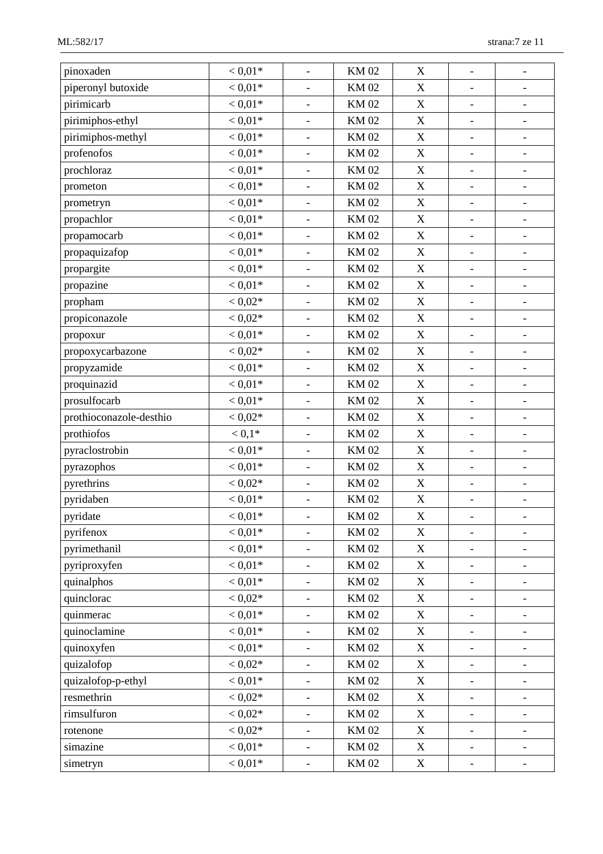| pinoxaden               | $< 0.01*$ | $\overline{\phantom{a}}$ | <b>KM02</b> | X                         | $\overline{\phantom{a}}$     | $\qquad \qquad -$            |
|-------------------------|-----------|--------------------------|-------------|---------------------------|------------------------------|------------------------------|
| piperonyl butoxide      | $< 0.01*$ | $\overline{\phantom{a}}$ | <b>KM02</b> | $\mathbf X$               | $\overline{\phantom{a}}$     | $\qquad \qquad -$            |
| pirimicarb              | $< 0.01*$ | $\overline{\phantom{a}}$ | <b>KM02</b> | $\mathbf X$               | $\overline{\phantom{a}}$     | $\overline{\phantom{0}}$     |
| pirimiphos-ethyl        | $< 0.01*$ | $\blacksquare$           | <b>KM02</b> | $\mathbf X$               | $\overline{\phantom{a}}$     | -                            |
| pirimiphos-methyl       | $< 0.01*$ | $\overline{\phantom{a}}$ | <b>KM02</b> | $\mathbf X$               | $\overline{\phantom{a}}$     | $\qquad \qquad -$            |
| profenofos              | $< 0.01*$ | $\overline{\phantom{a}}$ | <b>KM02</b> | $\mathbf X$               | $\overline{\phantom{a}}$     | $\overline{\phantom{0}}$     |
| prochloraz              | $< 0.01*$ | $\equiv$                 | <b>KM02</b> | X                         | $\overline{\phantom{a}}$     | $\overline{\phantom{a}}$     |
| prometon                | $< 0.01*$ | $\overline{\phantom{a}}$ | <b>KM02</b> | $\mathbf X$               | $\qquad \qquad -$            | $\overline{\phantom{0}}$     |
| prometryn               | $< 0.01*$ | $\overline{\phantom{a}}$ | <b>KM02</b> | $\mathbf X$               | $\overline{\phantom{a}}$     | $\overline{\phantom{0}}$     |
| propachlor              | $< 0.01*$ | $\overline{\phantom{a}}$ | <b>KM02</b> | $\mathbf X$               | $\overline{\phantom{a}}$     | $\qquad \qquad -$            |
| propamocarb             | $< 0.01*$ | $\overline{\phantom{a}}$ | <b>KM02</b> | $\mathbf X$               | $\qquad \qquad -$            | -                            |
| propaquizafop           | $< 0.01*$ | $\overline{\phantom{a}}$ | <b>KM02</b> | $\mathbf X$               | $\overline{\phantom{a}}$     | $\qquad \qquad \blacksquare$ |
| propargite              | $< 0.01*$ | $\overline{\phantom{a}}$ | <b>KM02</b> | X                         | $\qquad \qquad -$            | $\overline{\phantom{0}}$     |
| propazine               | $< 0.01*$ | $\overline{\phantom{a}}$ | <b>KM02</b> | $\mathbf X$               | $\overline{\phantom{a}}$     | $\overline{\phantom{a}}$     |
| propham                 | $< 0.02*$ | $\overline{\phantom{a}}$ | <b>KM02</b> | $\mathbf X$               | $\qquad \qquad -$            | $\qquad \qquad -$            |
| propiconazole           | $< 0.02*$ | $\qquad \qquad -$        | <b>KM02</b> | $\mathbf X$               | $\qquad \qquad \blacksquare$ | $\overline{\phantom{0}}$     |
| propoxur                | $< 0.01*$ |                          | <b>KM02</b> | $\mathbf X$               | $\overline{\phantom{a}}$     | $\qquad \qquad \blacksquare$ |
| propoxycarbazone        | $< 0.02*$ | $\blacksquare$           | <b>KM02</b> | $\mathbf X$               | $\qquad \qquad \blacksquare$ | $\qquad \qquad \blacksquare$ |
| propyzamide             | $< 0.01*$ | $\overline{\phantom{a}}$ | <b>KM02</b> | $\mathbf X$               | $\blacksquare$               | $\qquad \qquad \blacksquare$ |
| proquinazid             | $< 0.01*$ | $\overline{\phantom{a}}$ | <b>KM02</b> | $\mathbf X$               | $\overline{\phantom{0}}$     | $\overline{\phantom{0}}$     |
| prosulfocarb            | $< 0.01*$ | $\overline{\phantom{a}}$ | <b>KM02</b> | $\mathbf X$               | $\overline{\phantom{a}}$     | $\overline{\phantom{0}}$     |
| prothioconazole-desthio | $< 0.02*$ | $\overline{\phantom{a}}$ | <b>KM02</b> | $\mathbf X$               | $\qquad \qquad -$            | $\overline{\phantom{0}}$     |
| prothiofos              | $< 0.1*$  | $\overline{\phantom{a}}$ | <b>KM02</b> | $\mathbf X$               | $\overline{\phantom{a}}$     | $\overline{\phantom{0}}$     |
| pyraclostrobin          | $< 0.01*$ | $\blacksquare$           | <b>KM02</b> | $\mathbf X$               | $\blacksquare$               | $\qquad \qquad \blacksquare$ |
| pyrazophos              | $< 0.01*$ | $\overline{\phantom{a}}$ | <b>KM02</b> | $\mathbf X$               | $\qquad \qquad -$            | $\overline{\phantom{0}}$     |
| pyrethrins              | $< 0.02*$ | $\overline{\phantom{a}}$ | <b>KM02</b> | $\mathbf X$               | $\blacksquare$               | $\overline{\phantom{a}}$     |
| pyridaben               | $< 0.01*$ |                          | <b>KM02</b> | $\mathbf X$               |                              | -                            |
| pyridate                | $< 0.01*$ |                          | <b>KM02</b> | $\mathbf X$               |                              |                              |
| pyrifenox               | $< 0.01*$ | $\overline{\phantom{a}}$ | <b>KM02</b> | $\mathbf X$               | $\blacksquare$               | $\qquad \qquad -$            |
| pyrimethanil            | $< 0.01*$ |                          | <b>KM02</b> | $\mathbf X$               | $\overline{\phantom{a}}$     | $\overline{\phantom{0}}$     |
| pyriproxyfen            | $< 0.01*$ | $\overline{\phantom{a}}$ | <b>KM02</b> | $\mathbf X$               | $\frac{1}{2}$                |                              |
| quinalphos              | $< 0.01*$ | $\overline{\phantom{a}}$ | <b>KM02</b> | X                         | $\overline{\phantom{0}}$     | -                            |
| quinclorac              | $< 0.02*$ |                          | <b>KM02</b> | $\mathbf X$               |                              | $\overline{\phantom{0}}$     |
| quinmerac               | $< 0.01*$ |                          | <b>KM02</b> | X                         | $\qquad \qquad \blacksquare$ | $\qquad \qquad \blacksquare$ |
| quinoclamine            | $< 0.01*$ | $\overline{\phantom{a}}$ | <b>KM02</b> | $\boldsymbol{\mathrm{X}}$ | $\qquad \qquad -$            | $\overline{\phantom{0}}$     |
| quinoxyfen              | $< 0.01*$ | $\overline{\phantom{a}}$ | <b>KM02</b> | $\mathbf X$               | $\overline{\phantom{a}}$     | $\overline{\phantom{0}}$     |
| quizalofop              | $< 0.02*$ |                          | <b>KM02</b> | X                         | $\qquad \qquad \blacksquare$ | -                            |
| quizalofop-p-ethyl      | $< 0.01*$ | $\overline{\phantom{a}}$ | <b>KM02</b> | $\boldsymbol{\mathrm{X}}$ | $\overline{\phantom{a}}$     | $\overline{\phantom{0}}$     |
| resmethrin              | $< 0.02*$ | $\overline{\phantom{a}}$ | <b>KM02</b> | $\mathbf X$               | $\overline{\phantom{0}}$     |                              |
| rimsulfuron             | $< 0.02*$ | $\overline{\phantom{a}}$ | <b>KM02</b> | X                         | $\qquad \qquad \blacksquare$ | $\qquad \qquad -$            |
| rotenone                | $< 0.02*$ |                          | <b>KM02</b> | $\boldsymbol{\mathrm{X}}$ |                              |                              |
| simazine                | $< 0.01*$ | $\blacksquare$           | <b>KM02</b> | $\boldsymbol{\mathrm{X}}$ |                              | -                            |
| simetryn                | $< 0.01*$ | $\overline{\phantom{a}}$ | <b>KM02</b> | $\mathbf X$               | $\blacksquare$               | $\overline{\phantom{a}}$     |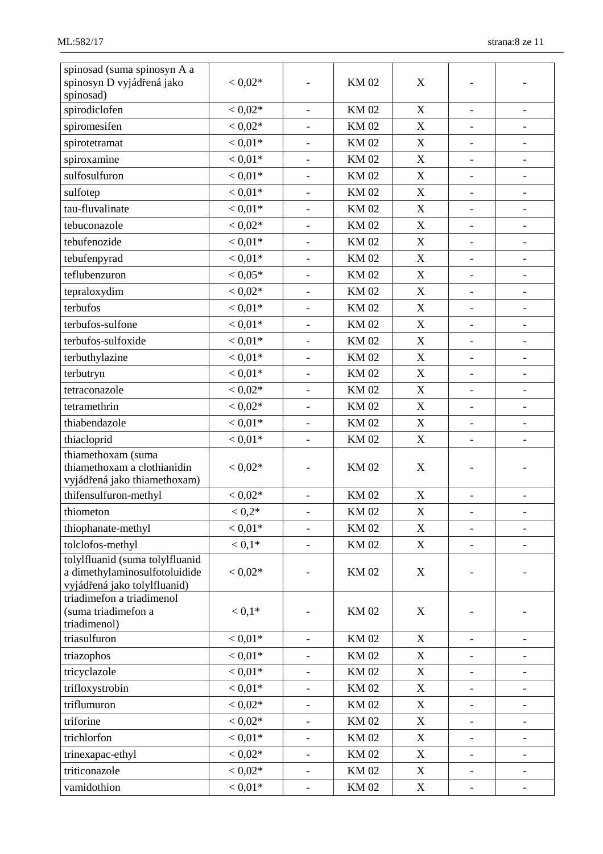| spinosad (suma spinosyn A a<br>spinosyn D vyjádřená jako<br>spinosad)                            | $< 0.02*$ |                          | <b>KM02</b> | X                |                              |                              |
|--------------------------------------------------------------------------------------------------|-----------|--------------------------|-------------|------------------|------------------------------|------------------------------|
| spirodiclofen                                                                                    | $< 0.02*$ | $\overline{\phantom{a}}$ | <b>KM02</b> | X                | $\frac{1}{2}$                | $\qquad \qquad \blacksquare$ |
| spiromesifen                                                                                     | $< 0.02*$ | $\overline{\phantom{a}}$ | <b>KM02</b> | X                | $\qquad \qquad \blacksquare$ | $\overline{\phantom{a}}$     |
| spirotetramat                                                                                    | $< 0.01*$ |                          | <b>KM02</b> | $\mathbf X$      | $\overline{\phantom{a}}$     | $\overline{\phantom{a}}$     |
| spiroxamine                                                                                      | $< 0.01*$ |                          | <b>KM02</b> | $\boldsymbol{X}$ | $\overline{\phantom{m}}$     | $\overline{\phantom{a}}$     |
| sulfosulfuron                                                                                    | $< 0.01*$ | $\overline{\phantom{a}}$ | <b>KM02</b> | $\mathbf X$      | $\overline{\phantom{a}}$     | $\overline{\phantom{a}}$     |
| sulfotep                                                                                         | $< 0.01*$ | $\overline{\phantom{a}}$ | <b>KM02</b> | $\mathbf X$      | $\overline{\phantom{a}}$     | $\overline{\phantom{a}}$     |
| tau-fluvalinate                                                                                  | $< 0.01*$ |                          | <b>KM02</b> | $\boldsymbol{X}$ | $\qquad \qquad -$            | $\overline{\phantom{a}}$     |
| tebuconazole                                                                                     | $< 0.02*$ | $\overline{\phantom{a}}$ | <b>KM02</b> | $\mathbf X$      | $\frac{1}{2}$                | $\overline{\phantom{a}}$     |
| tebufenozide                                                                                     | $< 0.01*$ | $\overline{\phantom{a}}$ | <b>KM02</b> | $\boldsymbol{X}$ | $\overline{\phantom{0}}$     | $\overline{\phantom{a}}$     |
| tebufenpyrad                                                                                     | $< 0.01*$ | $\overline{\phantom{a}}$ | <b>KM02</b> | $\boldsymbol{X}$ | $\overline{\phantom{a}}$     | $\overline{\phantom{a}}$     |
| teflubenzuron                                                                                    | $< 0.05*$ |                          | <b>KM02</b> | $\mathbf X$      | $\overline{\phantom{a}}$     | $\overline{\phantom{a}}$     |
| tepraloxydim                                                                                     | $< 0.02*$ | $\overline{\phantom{a}}$ | <b>KM02</b> | $\mathbf X$      | $\overline{\phantom{a}}$     | $\overline{\phantom{a}}$     |
| terbufos                                                                                         | $< 0.01*$ | $\overline{\phantom{0}}$ | <b>KM02</b> | X                | $\qquad \qquad \blacksquare$ | $\qquad \qquad \blacksquare$ |
| terbufos-sulfone                                                                                 | $< 0.01*$ |                          | <b>KM02</b> | $\boldsymbol{X}$ | $\overline{\phantom{0}}$     | $\overline{\phantom{a}}$     |
| terbufos-sulfoxide                                                                               | $< 0.01*$ | $\overline{\phantom{a}}$ | <b>KM02</b> | $\mathbf X$      | $\qquad \qquad \blacksquare$ | $\qquad \qquad \blacksquare$ |
| terbuthylazine                                                                                   | $< 0.01*$ | $\overline{\phantom{a}}$ | <b>KM02</b> | X                | $\frac{1}{2}$                | $\overline{\phantom{a}}$     |
| terbutryn                                                                                        | $< 0.01*$ | $\overline{\phantom{a}}$ | <b>KM02</b> | $\boldsymbol{X}$ | $\overline{\phantom{a}}$     | $\overline{\phantom{a}}$     |
| tetraconazole                                                                                    | $< 0.02*$ | $\blacksquare$           | <b>KM02</b> | $\mathbf X$      | $\overline{\phantom{a}}$     | $\overline{\phantom{a}}$     |
| tetramethrin                                                                                     | $< 0.02*$ | $\overline{\phantom{a}}$ | <b>KM02</b> | $\boldsymbol{X}$ | $\overline{\phantom{a}}$     | $\overline{\phantom{a}}$     |
| thiabendazole                                                                                    | $< 0.01*$ | $\overline{\phantom{a}}$ | <b>KM02</b> | X                | $\overline{\phantom{a}}$     | $\overline{\phantom{a}}$     |
| thiacloprid                                                                                      | $< 0.01*$ |                          | <b>KM02</b> | $\boldsymbol{X}$ |                              |                              |
| thiamethoxam (suma<br>thiamethoxam a clothianidin<br>vyjádřená jako thiamethoxam)                | $< 0.02*$ | $\overline{\phantom{0}}$ | <b>KM02</b> | X                |                              |                              |
| thifensulfuron-methyl                                                                            | $< 0.02*$ | $\overline{\phantom{a}}$ | <b>KM02</b> | X                |                              |                              |
| thiometon                                                                                        | $< 0.2*$  |                          | <b>KM02</b> | $\mathbf X$      |                              |                              |
| thiophanate-methyl                                                                               | $< 0.01*$ | $\blacksquare$           | <b>KM02</b> | X                | $\blacksquare$               | $\qquad \qquad -$            |
| tolclofos-methyl                                                                                 | $< 0.1*$  | $\overline{\phantom{a}}$ | <b>KM02</b> | X                | $\overline{\phantom{0}}$     |                              |
| tolylfluanid (suma tolylfluanid<br>a dimethylaminosulfotoluidide<br>vyjádřená jako tolylfluanid) | $< 0.02*$ |                          | <b>KM02</b> | X                |                              |                              |
| triadimefon a triadimenol<br>(suma triadimefon a<br>triadimenol)                                 | $< 0.1*$  |                          | <b>KM02</b> | X                |                              |                              |
| triasulfuron                                                                                     | $< 0.01*$ | $\overline{\phantom{0}}$ | <b>KM02</b> | $\mathbf X$      | $\overline{\phantom{0}}$     | -                            |
| triazophos                                                                                       | $< 0.01*$ | $\overline{\phantom{a}}$ | KM 02       | X                | $\qquad \qquad \blacksquare$ | $\overline{\phantom{a}}$     |
| tricyclazole                                                                                     | $< 0.01*$ |                          | <b>KM02</b> | $\boldsymbol{X}$ | $\overline{\phantom{0}}$     | $\overline{\phantom{a}}$     |
| trifloxystrobin                                                                                  | $< 0.01*$ |                          | <b>KM02</b> | X                |                              |                              |
| triflumuron                                                                                      | $< 0.02*$ | $\overline{\phantom{a}}$ | <b>KM02</b> | X                | $\qquad \qquad \blacksquare$ | $\overline{\phantom{a}}$     |
| triforine                                                                                        | $< 0.02*$ |                          | <b>KM02</b> | $\mathbf X$      | $\overline{\phantom{0}}$     | $\overline{\phantom{a}}$     |
| trichlorfon                                                                                      | $< 0.01*$ |                          | <b>KM02</b> | X                | $\overline{\phantom{0}}$     | $\overline{\phantom{0}}$     |
| trinexapac-ethyl                                                                                 | $< 0.02*$ | $\blacksquare$           | <b>KM02</b> | $\mathbf X$      | $\qquad \qquad \blacksquare$ | -                            |
| triticonazole                                                                                    | $< 0.02*$ | $\overline{\phantom{a}}$ | KM 02       | X                | $\blacksquare$               | $\overline{\phantom{a}}$     |
| vamidothion                                                                                      | $< 0.01*$ | $\overline{\phantom{a}}$ | <b>KM02</b> | $\mathbf X$      | $\qquad \qquad -$            | $\overline{\phantom{a}}$     |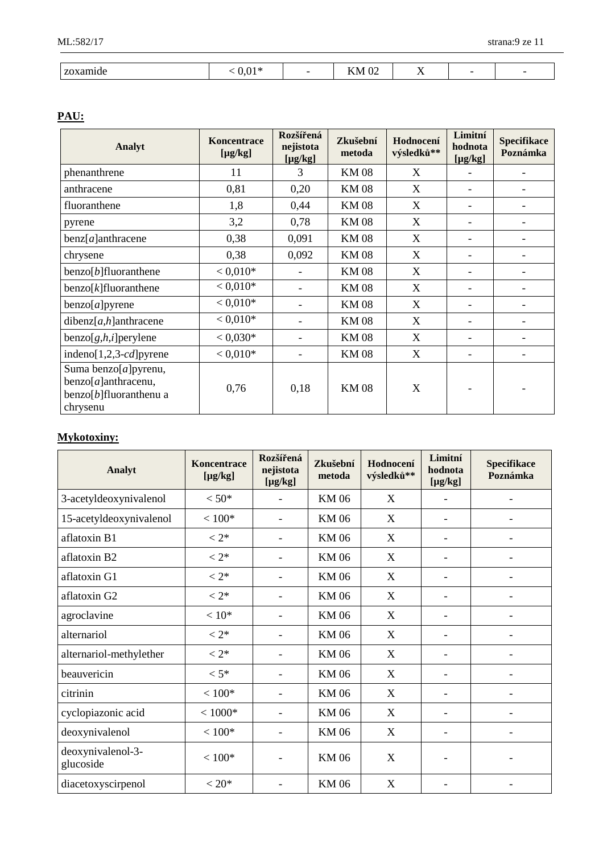| amıde<br>------ | $\bigcap$ 1 $\psi$<br>ה ו | $\sqrt{2}$<br>N/I<br><b>IZIMI</b> OZ | $ -$<br>$\ddot{\phantom{1}}$ |  |
|-----------------|---------------------------|--------------------------------------|------------------------------|--|

## **PAU:**

| Analyt                                                                                  | Koncentrace<br>$[\mu g/kg]$ | Rozšířená<br>Zkušební<br>nejistota<br>metoda<br>$[\mu g/kg]$ |             | Hodnocení<br>výsledků** | Limitní<br>hodnota<br>$[\mu g/kg]$ | <b>Specifikace</b><br>Poznámka |
|-----------------------------------------------------------------------------------------|-----------------------------|--------------------------------------------------------------|-------------|-------------------------|------------------------------------|--------------------------------|
| phenanthrene                                                                            | 11                          | 3                                                            | <b>KM08</b> | X                       |                                    |                                |
| anthracene                                                                              | 0,81                        | 0,20                                                         | <b>KM08</b> | X                       |                                    |                                |
| fluoranthene                                                                            | 1,8                         | 0,44                                                         | <b>KM08</b> | X                       |                                    |                                |
| pyrene                                                                                  | 3,2                         | 0,78                                                         | <b>KM08</b> | X                       |                                    |                                |
| $benz[a]$ anthracene                                                                    | 0,38                        | 0,091                                                        | <b>KM08</b> | X                       |                                    |                                |
| chrysene                                                                                | 0,38                        | 0,092                                                        | <b>KM08</b> | X                       |                                    |                                |
| $benzo[b]$ fluoranthene                                                                 | $< 0.010*$                  | ۰                                                            | <b>KM08</b> | X                       |                                    |                                |
| $benzo[k]$ fluoranthene                                                                 | $< 0.010*$                  | ۰                                                            | <b>KM08</b> | X                       |                                    |                                |
| benzo[a]pyrene                                                                          | $< 0.010*$                  | $\qquad \qquad -$                                            | <b>KM08</b> | X                       |                                    |                                |
| $dibenz[a,h]$ anthracene                                                                | $< 0.010*$                  | ۰                                                            | <b>KM08</b> | X                       |                                    |                                |
| $benzo[g,h,i]$ perylene                                                                 | $< 0.030*$                  | ۰                                                            | <b>KM08</b> | X                       |                                    |                                |
| indeno $[1,2,3-cd]$ pyrene                                                              | $< 0.010*$                  | $\overline{\phantom{0}}$                                     | <b>KM08</b> | X                       |                                    |                                |
| Suma benzo[a]pyrenu,<br>$benzo[a]$ anthracenu,<br>$benzo[b]$ fluoranthenu a<br>chrysenu | 0,76                        | 0,18                                                         | <b>KM08</b> | X                       |                                    |                                |

# **Mykotoxiny:**

| Analyt                         | Koncentrace<br>$[\mu g/kg]$ | Rozšířená<br>nejistota<br>$[\mu g/kg]$ | Zkušební<br>metoda | Hodnocení<br>výsledků** | Limitní<br>hodnota<br>$[\mu g/kg]$ | <b>Specifikace</b><br>Poznámka |
|--------------------------------|-----------------------------|----------------------------------------|--------------------|-------------------------|------------------------------------|--------------------------------|
| 3-acetyldeoxynivalenol         | $< 50*$                     |                                        | KM 06              | X                       |                                    | $\overline{\phantom{a}}$       |
| 15-acetyldeoxynivalenol        | $< 100*$                    |                                        | <b>KM06</b>        | X                       |                                    |                                |
| aflatoxin B1                   | $< 2*$                      |                                        | <b>KM06</b>        | X                       |                                    |                                |
| aflatoxin B2                   | $< 2*$                      |                                        | <b>KM06</b>        | X                       | ۰                                  |                                |
| aflatoxin G1                   | $< 2*$                      |                                        | <b>KM06</b>        | X                       |                                    |                                |
| aflatoxin G2                   | $< 2*$                      |                                        | <b>KM06</b>        | X                       | $\qquad \qquad -$                  |                                |
| agroclavine                    | $< 10*$                     |                                        | <b>KM06</b>        | X                       | $\qquad \qquad \blacksquare$       |                                |
| alternariol                    | $< 2*$                      |                                        | <b>KM06</b>        | X                       | $\qquad \qquad \blacksquare$       | $\overline{\phantom{a}}$       |
| alternariol-methylether        | $< 2*$                      |                                        | <b>KM06</b>        | X                       | -                                  |                                |
| beauvericin                    | $< 5*$                      |                                        | <b>KM06</b>        | X                       |                                    |                                |
| citrinin                       | $< 100*$                    |                                        | <b>KM06</b>        | X                       |                                    |                                |
| cyclopiazonic acid             | $< 1000*$                   |                                        | <b>KM06</b>        | X                       |                                    |                                |
| deoxynivalenol                 | $< 100*$                    |                                        | <b>KM06</b>        | X                       |                                    |                                |
| deoxynivalenol-3-<br>glucoside | $< 100*$                    |                                        | <b>KM06</b>        | X                       |                                    |                                |
| diacetoxyscirpenol             | $< 20*$                     |                                        | <b>KM06</b>        | X                       |                                    |                                |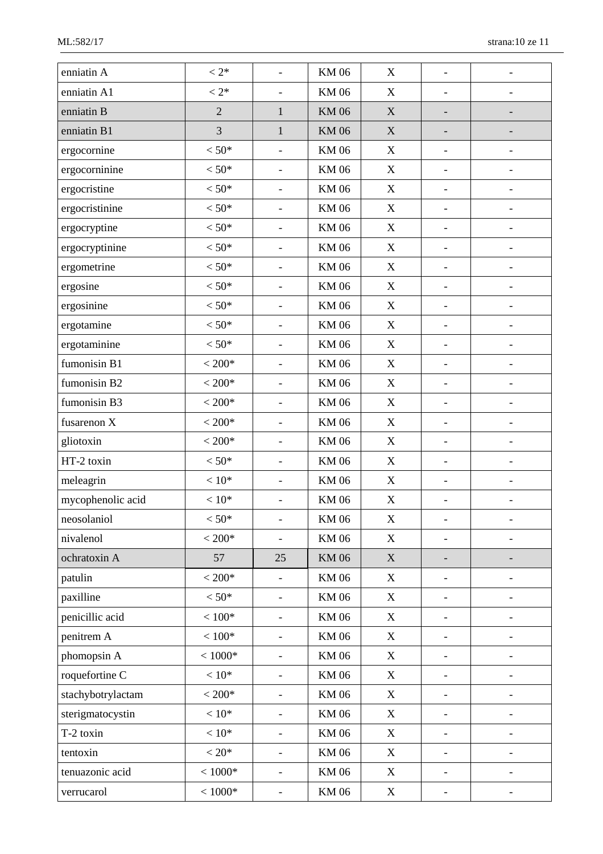| enniatin A        | $< 2*$          |                              | <b>KM06</b> | X                         |                              |                          |
|-------------------|-----------------|------------------------------|-------------|---------------------------|------------------------------|--------------------------|
| enniatin A1       | $< 2*$          | $\overline{\phantom{a}}$     | <b>KM06</b> | X                         | $\overline{\phantom{a}}$     |                          |
| enniatin B        | $\overline{2}$  | $\mathbf{1}$                 | <b>KM06</b> | $\mathbf X$               | $\overline{\phantom{0}}$     |                          |
| enniatin B1       | $\overline{3}$  | $\mathbf{1}$                 | <b>KM06</b> | $\mathbf X$               |                              |                          |
| ergocornine       | $< 50*$         |                              | <b>KM06</b> | X                         | $\overline{\phantom{a}}$     |                          |
| ergocorninine     | $< 50*$         | $\overline{\phantom{a}}$     | <b>KM06</b> | X                         | $\overline{\phantom{a}}$     |                          |
| ergocristine      | $< 50*$         | $\overline{\phantom{a}}$     | <b>KM06</b> | X                         | $\overline{\phantom{a}}$     | $\overline{\phantom{a}}$ |
| ergocristinine    | $< 50*$         | $\overline{\phantom{a}}$     | <b>KM06</b> | X                         | $\frac{1}{2}$                |                          |
| ergocryptine      | $< 50*$         |                              | <b>KM06</b> | X                         | $\overline{\phantom{a}}$     |                          |
| ergocryptinine    | $< 50*$         | $\overline{\phantom{a}}$     | <b>KM06</b> | X                         | $\qquad \qquad \blacksquare$ |                          |
| ergometrine       | $< 50*$         | $\overline{\phantom{a}}$     | <b>KM06</b> | X                         | $\overline{\phantom{a}}$     |                          |
| ergosine          | $< 50*$         | $\overline{\phantom{a}}$     | <b>KM06</b> | $\mathbf X$               | $\overline{\phantom{a}}$     | $\overline{\phantom{a}}$ |
| ergosinine        | $< 50*$         | $\overline{\phantom{a}}$     | <b>KM06</b> | X                         | $\frac{1}{2}$                |                          |
| ergotamine        | $< 50*$         | $\overline{\phantom{a}}$     | <b>KM06</b> | $\mathbf X$               | $\overline{\phantom{a}}$     |                          |
| ergotaminine      | $< 50*$         | $\overline{\phantom{a}}$     | <b>KM06</b> | X                         | $\qquad \qquad \blacksquare$ | $\overline{\phantom{a}}$ |
| fumonisin B1      | $< 200*$        | $\overline{\phantom{a}}$     | <b>KM06</b> | X                         | $\qquad \qquad \blacksquare$ |                          |
| fumonisin B2      | $< 200*$        | $\overline{\phantom{a}}$     | <b>KM06</b> | X                         | $\overline{\phantom{a}}$     | $\overline{\phantom{a}}$ |
| fumonisin B3      | $<200*$         | $\overline{\phantom{a}}$     | <b>KM06</b> | X                         | $\overline{\phantom{a}}$     | $\overline{\phantom{0}}$ |
| fusarenon X       | $< 200*$        | $\overline{\phantom{a}}$     | <b>KM06</b> | $\mathbf X$               | $\overline{\phantom{a}}$     |                          |
| gliotoxin         | $< 200*$        | $\overline{\phantom{a}}$     | <b>KM06</b> | $\boldsymbol{\mathrm{X}}$ | $\overline{\phantom{a}}$     | $\overline{\phantom{a}}$ |
| HT-2 toxin        | $< 50*$         | $\qquad \qquad -$            | <b>KM06</b> | X                         | $\overline{\phantom{a}}$     |                          |
| meleagrin         | $< 10*$         | $\overline{\phantom{a}}$     | <b>KM06</b> | X                         | $\overline{\phantom{a}}$     |                          |
| mycophenolic acid | $<10\mathrm{*}$ |                              | <b>KM06</b> | $\boldsymbol{\mathrm{X}}$ | $\qquad \qquad \blacksquare$ |                          |
| neosolaniol       | $< 50*$         |                              | <b>KM06</b> | X                         |                              |                          |
| nivalenol         | $< 200*$        |                              | <b>KM06</b> | X                         | $\overline{a}$               |                          |
| ochratoxin A      | 57              | 25                           | <b>KM06</b> | X                         |                              |                          |
| patulin           | $< 200*$        |                              | <b>KM06</b> | X                         | $\overline{\phantom{0}}$     |                          |
| paxilline         | $< 50*$         | $\overline{\phantom{a}}$     | <b>KM06</b> | X                         | $\qquad \qquad \blacksquare$ |                          |
| penicillic acid   | $<100*$         |                              | <b>KM06</b> | X                         |                              |                          |
| penitrem A        | $<100*$         |                              | <b>KM06</b> | X                         | $\overline{\phantom{a}}$     |                          |
| phomopsin A       | $< 1000*$       |                              | <b>KM06</b> | X                         | $\qquad \qquad -$            |                          |
| roquefortine C    | $< 10*$         | $\overline{\phantom{a}}$     | <b>KM06</b> | X                         | $\overline{\phantom{a}}$     |                          |
| stachybotrylactam | $< 200*$        | $\overline{\phantom{a}}$     | <b>KM06</b> | X                         | $\overline{\phantom{a}}$     |                          |
| sterigmatocystin  | $<10*$          | $\qquad \qquad \blacksquare$ | <b>KM06</b> | X                         | $\qquad \qquad -$            |                          |
| T-2 toxin         | $< 10*$         |                              | <b>KM06</b> | X                         | $\overline{\phantom{a}}$     |                          |
| tentoxin          | $< 20*$         | $\overline{\phantom{a}}$     | <b>KM06</b> | X                         | $\qquad \qquad \blacksquare$ |                          |
| tenuazonic acid   | $< 1000*$       | $\overline{\phantom{a}}$     | <b>KM06</b> | X                         | $\overline{\phantom{a}}$     |                          |
| verrucarol        | $< 1000*$       | $\overline{\phantom{0}}$     | <b>KM06</b> | X                         | $\overline{\phantom{a}}$     | $\overline{\phantom{a}}$ |